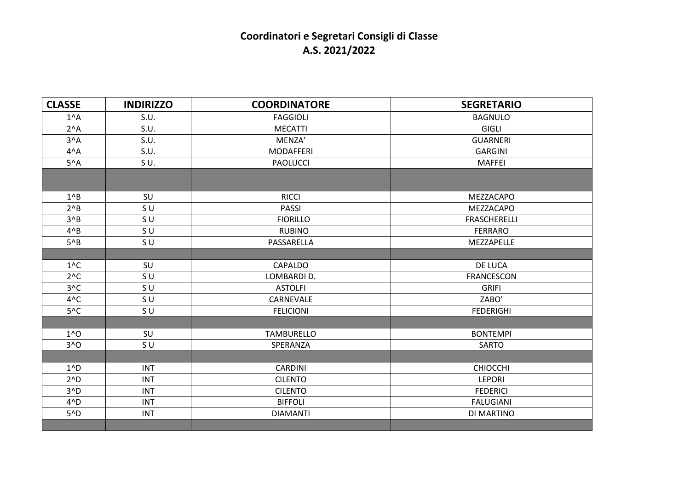## **Coordinatori e Segretari Consigli di Classe A.S. 2021/2022**

| <b>CLASSE</b>  | <b>INDIRIZZO</b> | <b>COORDINATORE</b> | <b>SEGRETARIO</b>   |
|----------------|------------------|---------------------|---------------------|
| $1^A$          | S.U.             | <b>FAGGIOLI</b>     | <b>BAGNULO</b>      |
| $2^A$ A        | S.U.             | <b>MECATTI</b>      | <b>GIGLI</b>        |
| $3^A$ A        | S.U.             | MENZA'              | <b>GUARNERI</b>     |
| $4^A$          | S.U.             | <b>MODAFFERI</b>    | <b>GARGINI</b>      |
| $5^A$          | SU.              | <b>PAOLUCCI</b>     | <b>MAFFEI</b>       |
|                |                  |                     |                     |
| $1^{\wedge}B$  | SU               | <b>RICCI</b>        | MEZZACAPO           |
| $2^nB$         | S U              | <b>PASSI</b>        | MEZZACAPO           |
| $3^{\wedge}B$  | SU.              | <b>FIORILLO</b>     | <b>FRASCHERELLI</b> |
| $4^{\wedge}B$  | SU.              | <b>RUBINO</b>       | <b>FERRARO</b>      |
| $5^{\wedge}B$  | S U              | PASSARELLA          | MEZZAPELLE          |
|                |                  |                     |                     |
| $1^{\wedge}C$  | SU               | <b>CAPALDO</b>      | DE LUCA             |
| $2^{\wedge}C$  | S U              | LOMBARDI D.         | <b>FRANCESCON</b>   |
| $3^{\wedge}C$  | SU.              | <b>ASTOLFI</b>      | <b>GRIFI</b>        |
| $4^{\wedge}C$  | SU               | CARNEVALE           | ZABO'               |
| $5^{\wedge}C$  | SU.              | <b>FELICIONI</b>    | <b>FEDERIGHI</b>    |
|                |                  |                     |                     |
| $1^0$          | SU               | <b>TAMBURELLO</b>   | <b>BONTEMPI</b>     |
| $3^0$          | SU.              | SPERANZA            | <b>SARTO</b>        |
|                |                  |                     |                     |
| $1^{\wedge}D$  | <b>INT</b>       | <b>CARDINI</b>      | CHIOCCHI            |
| $2^ND$         | <b>INT</b>       | <b>CILENTO</b>      | <b>LEPORI</b>       |
| 3 <sub>0</sub> | <b>INT</b>       | <b>CILENTO</b>      | <b>FEDERICI</b>     |
| $4^{\wedge}D$  | <b>INT</b>       | <b>BIFFOLI</b>      | <b>FALUGIANI</b>    |
| $5^{\wedge}D$  | <b>INT</b>       | <b>DIAMANTI</b>     | DI MARTINO          |
|                |                  |                     |                     |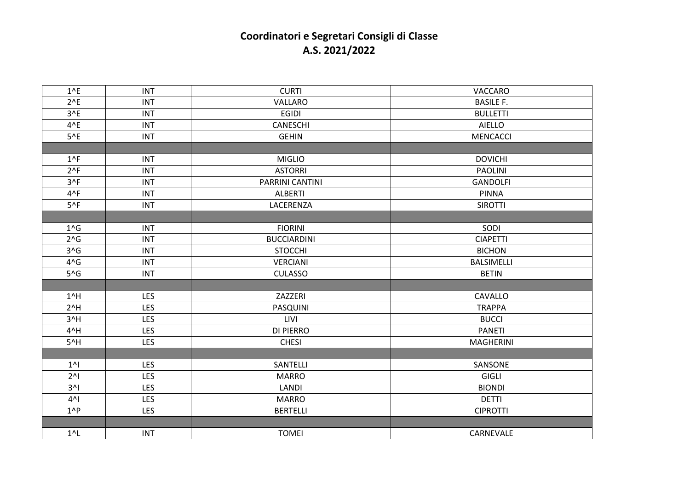## **Coordinatori e Segretari Consigli di Classe A.S. 2021/2022**

| $1^{\wedge}E$  | <b>INT</b> | <b>CURTI</b>       | VACCARO           |
|----------------|------------|--------------------|-------------------|
| $2^{\wedge}E$  | <b>INT</b> | VALLARO            | <b>BASILE F.</b>  |
| $3^{\wedge}E$  | <b>INT</b> | <b>EGIDI</b>       | <b>BULLETTI</b>   |
| $4^{\wedge}E$  | <b>INT</b> | <b>CANESCHI</b>    | <b>AIELLO</b>     |
| $5^{\wedge}E$  | <b>INT</b> | <b>GEHIN</b>       | <b>MENCACCI</b>   |
|                |            |                    |                   |
| $1^{\wedge}F$  | <b>INT</b> | <b>MIGLIO</b>      | <b>DOVICHI</b>    |
| $2^{\wedge}F$  | <b>INT</b> | <b>ASTORRI</b>     | <b>PAOLINI</b>    |
| $3^{\wedge}F$  | <b>INT</b> | PARRINI CANTINI    | <b>GANDOLFI</b>   |
| $4^{\wedge}F$  | <b>INT</b> | <b>ALBERTI</b>     | <b>PINNA</b>      |
| $5^{\wedge}F$  | <b>INT</b> | LACERENZA          | <b>SIROTTI</b>    |
|                |            |                    |                   |
| $1^{\wedge}$ G | <b>INT</b> | <b>FIORINI</b>     | SODI              |
| $2^{\wedge}G$  | <b>INT</b> | <b>BUCCIARDINI</b> | <b>CIAPETTI</b>   |
| $3^G$          | <b>INT</b> | <b>STOCCHI</b>     | <b>BICHON</b>     |
| $4^$ G         | <b>INT</b> | <b>VERCIANI</b>    | <b>BALSIMELLI</b> |
| $5^{\wedge}$ G | <b>INT</b> | <b>CULASSO</b>     | <b>BETIN</b>      |
|                |            |                    |                   |
| $1^h$ H        | LES        | ZAZZERI            | CAVALLO           |
| $2^n$ H        | LES        | PASQUINI           | <b>TRAPPA</b>     |
| $3^N$ H        | <b>LES</b> | LIVI               | <b>BUCCI</b>      |
| 4^H            | <b>LES</b> | <b>DI PIERRO</b>   | <b>PANETI</b>     |
| $5^{\prime}$ H | LES        | <b>CHESI</b>       | <b>MAGHERINI</b>  |
|                |            |                    |                   |
| 1 <sup>1</sup> | LES        | SANTELLI           | SANSONE           |
| $2^{\wedge}$   | <b>LES</b> | <b>MARRO</b>       | GIGLI             |
| $3^N$          | <b>LES</b> | LANDI              | <b>BIONDI</b>     |
| $4^N$          | LES        | <b>MARRO</b>       | <b>DETTI</b>      |
| $1^{\wedge}P$  | LES        | <b>BERTELLI</b>    | <b>CIPROTTI</b>   |
|                |            |                    |                   |
| $1^{\prime}$ L | <b>INT</b> | <b>TOMEI</b>       | CARNEVALE         |